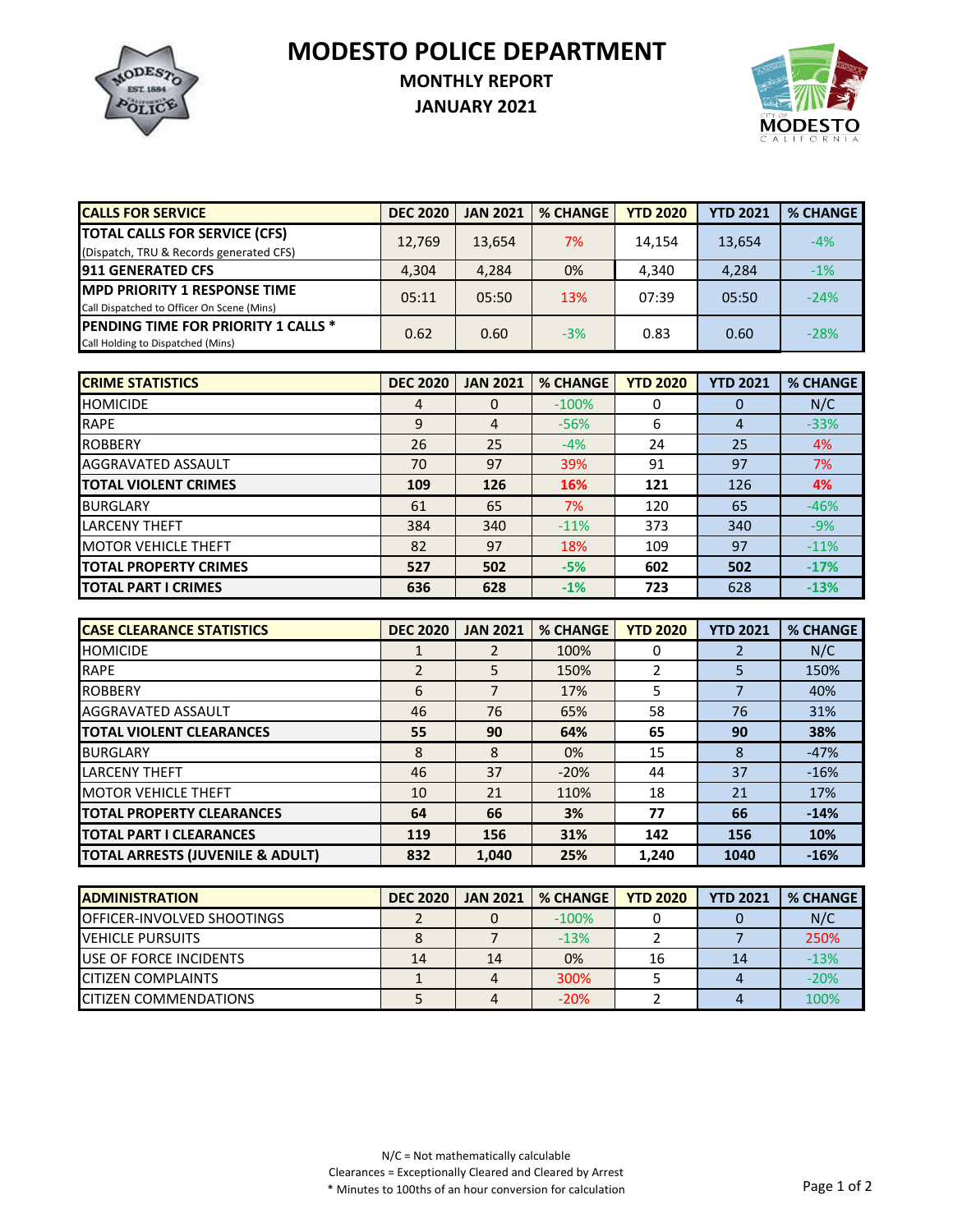**MODESTO POLICE DEPARTMENT**



## **MONTHLY REPORT**

**JANUARY 2021**



| <b>CALLS FOR SERVICE</b>                    | <b>DEC 2020</b> | <b>JAN 2021</b> | <b>% CHANGE</b> | <b>YTD 2020</b> | <b>YTD 2021</b> | <b>% CHANGE</b> |
|---------------------------------------------|-----------------|-----------------|-----------------|-----------------|-----------------|-----------------|
| <b>TOTAL CALLS FOR SERVICE (CFS)</b>        | 12,769          | 13,654          | 7%              | 14.154          | 13,654          | $-4%$           |
| (Dispatch, TRU & Records generated CFS)     |                 |                 |                 |                 |                 |                 |
| <b>911 GENERATED CFS</b>                    | 4.304           | 4,284           | 0%              | 4.340           | 4,284           | $-1%$           |
| <b>IMPD PRIORITY 1 RESPONSE TIME</b>        | 05:11           | 05:50           | 13%             | 07:39           | 05:50           | $-24%$          |
| Call Dispatched to Officer On Scene (Mins)  |                 |                 |                 |                 |                 |                 |
| <b>IPENDING TIME FOR PRIORITY 1 CALLS *</b> |                 | 0.60            | $-3%$           | 0.83            |                 | $-28%$          |
| Call Holding to Dispatched (Mins)           | 0.62            |                 |                 |                 | 0.60            |                 |

| <b>CRIME STATISTICS</b>      | <b>DEC 2020</b> | <b>JAN 2021</b> | <b>% CHANGE</b> | <b>YTD 2020</b> | <b>YTD 2021</b> | <b>% CHANGE</b> |
|------------------------------|-----------------|-----------------|-----------------|-----------------|-----------------|-----------------|
| <b>HOMICIDE</b>              | 4               | 0               | $-100%$         | 0               |                 | N/C             |
| <b>RAPE</b>                  | 9               | 4               | $-56%$          | 6               | 4               | $-33%$          |
| <b>ROBBERY</b>               | 26              | 25              | $-4%$           | 24              | 25              | 4%              |
| AGGRAVATED ASSAULT           | 70              | 97              | 39%             | 91              | 97              | 7%              |
| <b>TOTAL VIOLENT CRIMES</b>  | 109             | 126             | 16%             | 121             | 126             | 4%              |
| <b>BURGLARY</b>              | 61              | 65              | 7%              | 120             | 65              | $-46%$          |
| <b>LARCENY THEFT</b>         | 384             | 340             | $-11%$          | 373             | 340             | $-9%$           |
| <b>MOTOR VEHICLE THEFT</b>   | 82              | 97              | 18%             | 109             | 97              | $-11%$          |
| <b>TOTAL PROPERTY CRIMES</b> | 527             | 502             | $-5%$           | 602             | 502             | $-17%$          |
| <b>TOTAL PART I CRIMES</b>   | 636             | 628             | $-1%$           | 723             | 628             | $-13%$          |

| <b>CASE CLEARANCE STATISTICS</b>            | <b>DEC 2020</b> | <b>JAN 2021</b> | <b>% CHANGE</b> | <b>YTD 2020</b> | <b>YTD 2021</b> | <b>% CHANGE</b> |
|---------------------------------------------|-----------------|-----------------|-----------------|-----------------|-----------------|-----------------|
| <b>HOMICIDE</b>                             |                 |                 | 100%            | 0               |                 | N/C             |
| <b>RAPE</b>                                 | 2               | 5.              | 150%            |                 | 5               | 150%            |
| <b>ROBBERY</b>                              | 6               | 7               | 17%             | 5               |                 | 40%             |
| AGGRAVATED ASSAULT                          | 46              | 76              | 65%             | 58              | 76              | 31%             |
| <b>TOTAL VIOLENT CLEARANCES</b>             | 55              | 90              | 64%             | 65              | 90              | 38%             |
| <b>BURGLARY</b>                             | 8               | 8               | 0%              | 15              | 8               | $-47%$          |
| <b>LARCENY THEFT</b>                        | 46              | 37              | $-20%$          | 44              | 37              | $-16%$          |
| <b>MOTOR VEHICLE THEFT</b>                  | 10              | 21              | 110%            | 18              | 21              | 17%             |
| <b>TOTAL PROPERTY CLEARANCES</b>            | 64              | 66              | 3%              | 77              | 66              | $-14%$          |
| <b>TOTAL PART I CLEARANCES</b>              | 119             | 156             | 31%             | 142             | 156             | 10%             |
| <b>TOTAL ARRESTS (JUVENILE &amp; ADULT)</b> | 832             | 1.040           | 25%             | 1.240           | 1040            | $-16%$          |

| <b>IADMINISTRATION</b>             | <b>DEC 2020</b> | <b>JAN 2021</b> | <b>% CHANGE</b> | <b>YTD 2020</b> | <b>YTD 2021</b> | % CHANGE |
|------------------------------------|-----------------|-----------------|-----------------|-----------------|-----------------|----------|
| <b>IOFFICER-INVOLVED SHOOTINGS</b> |                 |                 | $-100\%$        |                 |                 | N/C      |
| <b>IVEHICLE PURSUITS</b>           |                 |                 | $-13%$          |                 |                 | 250%     |
| <b>IUSE OF FORCE INCIDENTS</b>     | 14              | 14              | 0%              | 16              | 14              | $-13%$   |
| <b>CITIZEN COMPLAINTS</b>          |                 |                 | 300%            |                 |                 | $-20%$   |
| <b>ICITIZEN COMMENDATIONS</b>      |                 |                 | $-20%$          |                 |                 | 100%     |